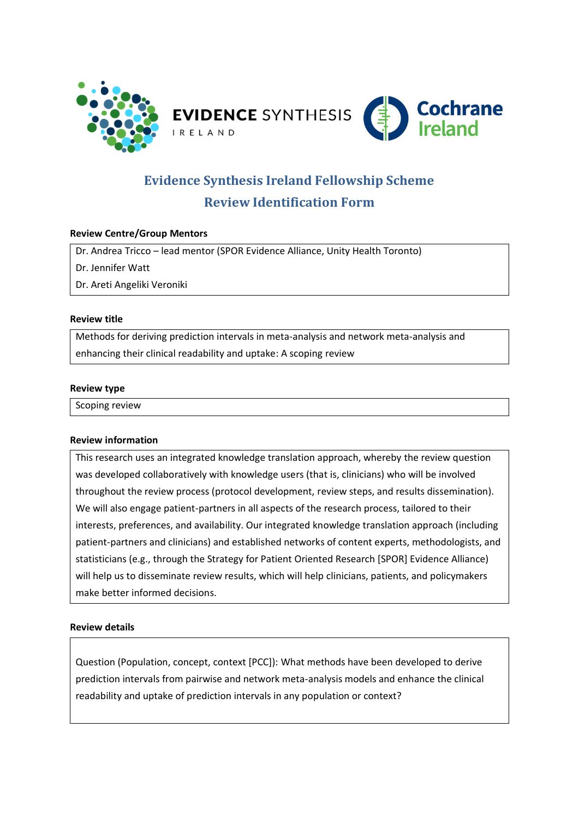

# **Evidence Synthesis Ireland Fellowship Scheme**

# **Review Identification Form**

## **Review Centre/Group Mentors**

Dr. Andrea Tricco – lead mentor (SPOR Evidence Alliance, Unity Health Toronto)

Dr. Jennifer Watt

Dr. Areti Angeliki Veroniki

#### **Review title**

Methods for deriving prediction intervals in meta-analysis and network meta-analysis and enhancing their clinical readability and uptake: A scoping review

#### **Review type**

Scoping review

### **Review information**

This research uses an integrated knowledge translation approach, whereby the review question was developed collaboratively with knowledge users (that is, clinicians) who will be involved throughout the review process (protocol development, review steps, and results dissemination). We will also engage patient-partners in all aspects of the research process, tailored to their interests, preferences, and availability. Our integrated knowledge translation approach (including patient-partners and clinicians) and established networks of content experts, methodologists, and statisticians (e.g., through the Strategy for Patient Oriented Research [SPOR] Evidence Alliance) will help us to disseminate review results, which will help clinicians, patients, and policymakers make better informed decisions.

### **Review details**

Question (Population, concept, context [PCC]): What methods have been developed to derive prediction intervals from pairwise and network meta-analysis models and enhance the clinical readability and uptake of prediction intervals in any population or context?